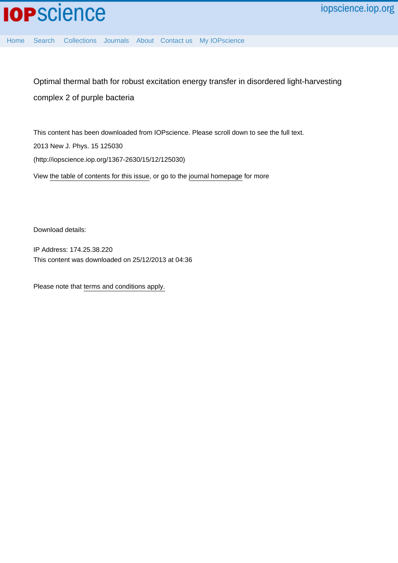

[Home](http://iopscience.iop.org/) [Search](http://iopscience.iop.org/search) [Collections](http://iopscience.iop.org/collections) [Journals](http://iopscience.iop.org/journals) [About](http://iopscience.iop.org/page/aboutioppublishing) [Contact us](http://iopscience.iop.org/contact) [My IOPscience](http://iopscience.iop.org/myiopscience)

Optimal thermal bath for robust excitation energy transfer in disordered light-harvesting complex 2 of purple bacteria

This content has been downloaded from IOPscience. Please scroll down to see the full text. View [the table of contents for this issue](http://iopscience.iop.org/1367-2630/15/12), or go to the [journal homepage](http://iopscience.iop.org/1367-2630) for more 2013 New J. Phys. 15 125030 (http://iopscience.iop.org/1367-2630/15/12/125030)

Download details:

IP Address: 174.25.38.220 This content was downloaded on 25/12/2013 at 04:36

Please note that [terms and conditions apply.](iopscience.iop.org/page/terms)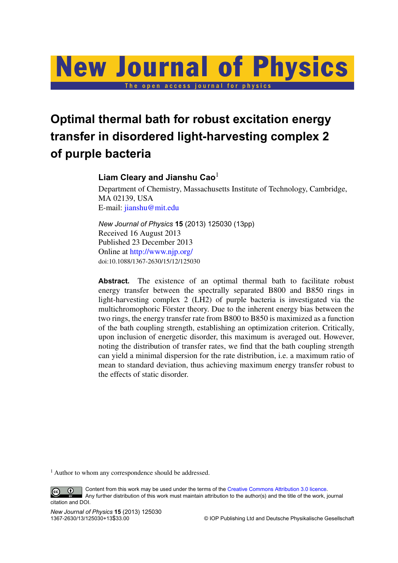# **New Journal of Physics** The open access journal for physics

# **Optimal thermal bath for robust excitation energy transfer in disordered light-harvesting complex 2 of purple bacteria**

# **Liam Cleary and Jianshu Cao**<sup>1</sup>

Department of Chemistry, Massachusetts Institute of Technology, Cambridge, MA 02139, USA E-mail: [jianshu@mit.edu](mailto:jianshu@mit.edu)

*New Journal of Physics* **15** (2013) 125030 (13pp) Received 16 August 2013 Published 23 December 2013 Online at <http://www.njp.org/> doi:10.1088/1367-2630/15/12/125030

**Abstract.** The existence of an optimal thermal bath to facilitate robust energy transfer between the spectrally separated B800 and B850 rings in light-harvesting complex 2 (LH2) of purple bacteria is investigated via the multichromophoric Förster theory. Due to the inherent energy bias between the two rings, the energy transfer rate from B800 to B850 is maximized as a function of the bath coupling strength, establishing an optimization criterion. Critically, upon inclusion of energetic disorder, this maximum is averaged out. However, noting the distribution of transfer rates, we find that the bath coupling strength can yield a minimal dispersion for the rate distribution, i.e. a maximum ratio of mean to standard deviation, thus achieving maximum energy transfer robust to the effects of static disorder.

<sup>1</sup> Author to whom any correspondence should be addressed.

Content from this work may be used under the terms of the [Creative Commons Attribution 3.0 licence.](http://creativecommons.org/licenses/by/3.0)  $\bigcirc$ 

 $\left($ cc Any further distribution of this work must maintain attribution to the author(s) and the title of the work, journal citation and DOI.

*New Journal of Physics* **15** (2013) 125030

 $©$  IOP Publishing Ltd and Deutsche Physikalische Gesellschaft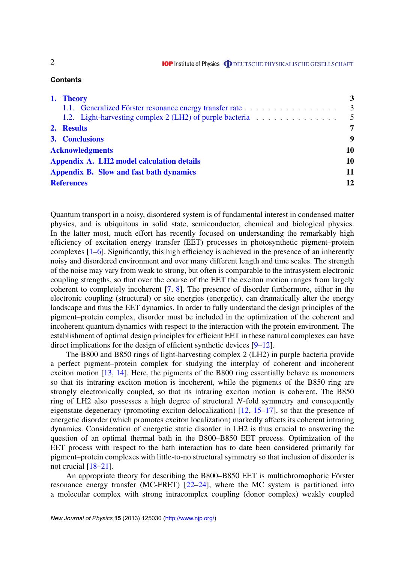# **Contents**

| 1. Theory                                                | 3              |
|----------------------------------------------------------|----------------|
| 1.1. Generalized Förster resonance energy transfer rate  | 3              |
| 1.2. Light-harvesting complex 2 (LH2) of purple bacteria | $\overline{5}$ |
| 2. Results                                               | $\overline{7}$ |
| 3. Conclusions                                           | 9              |
| <b>Acknowledgments</b>                                   | 10             |
| Appendix A. LH2 model calculation details                | 10             |
| <b>Appendix B. Slow and fast bath dynamics</b>           | 11             |
| <b>References</b>                                        | 12             |

Quantum transport in a noisy, disordered system is of fundamental interest in condensed matter physics, and is ubiquitous in solid state, semiconductor, chemical and biological physics. In the latter most, much effort has recently focused on understanding the remarkably high efficiency of excitation energy transfer (EET) processes in photosynthetic pigment–protein complexes [\[1–6\]](#page-12-0). Significantly, this high efficiency is achieved in the presence of an inherently noisy and disordered environment and over many different length and time scales. The strength of the noise may vary from weak to strong, but often is comparable to the intrasystem electronic coupling strengths, so that over the course of the EET the exciton motion ranges from largely coherent to completely incoherent [\[7,](#page-12-0) [8\]](#page-12-0). The presence of disorder furthermore, either in the electronic coupling (structural) or site energies (energetic), can dramatically alter the energy landscape and thus the EET dynamics. In order to fully understand the design principles of the pigment–protein complex, disorder must be included in the optimization of the coherent and incoherent quantum dynamics with respect to the interaction with the protein environment. The establishment of optimal design principles for efficient EET in these natural complexes can have direct implications for the design of efficient synthetic devices [\[9–12\]](#page-12-0).

The B800 and B850 rings of light-harvesting complex 2 (LH2) in purple bacteria provide a perfect pigment–protein complex for studying the interplay of coherent and incoherent exciton motion [\[13,](#page-12-0) [14\]](#page-12-0). Here, the pigments of the B800 ring essentially behave as monomers so that its intraring exciton motion is incoherent, while the pigments of the B850 ring are strongly electronically coupled, so that its intraring exciton motion is coherent. The B850 ring of LH2 also possesses a high degree of structural *N*-fold symmetry and consequently eigenstate degeneracy (promoting exciton delocalization) [\[12,](#page-12-0) [15–17\]](#page-12-0), so that the presence of energetic disorder (which promotes exciton localization) markedly affects its coherent intraring dynamics. Consideration of energetic static disorder in LH2 is thus crucial to answering the question of an optimal thermal bath in the B800–B850 EET process. Optimization of the EET process with respect to the bath interaction has to date been considered primarily for pigment–protein complexes with little-to-no structural symmetry so that inclusion of disorder is not crucial  $[18–21]$ .

An appropriate theory for describing the B800–B850 EET is multichromophoric Förster resonance energy transfer (MC-FRET) [\[22–24\]](#page-12-0), where the MC system is partitioned into a molecular complex with strong intracomplex coupling (donor complex) weakly coupled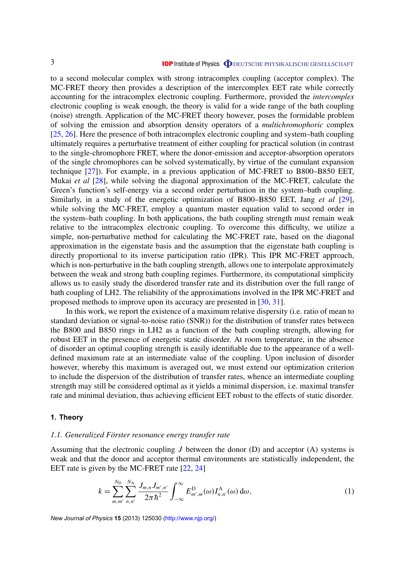<span id="page-3-0"></span>to a second molecular complex with strong intracomplex coupling (acceptor complex). The MC-FRET theory then provides a description of the intercomplex EET rate while correctly accounting for the intracomplex electronic coupling. Furthermore, provided the *intercomplex* electronic coupling is weak enough, the theory is valid for a wide range of the bath coupling (noise) strength. Application of the MC-FRET theory however, poses the formidable problem of solving the emission and absorption density operators of a *multichromophoric* complex [\[25,](#page-13-0) [26\]](#page-13-0). Here the presence of both intracomplex electronic coupling and system–bath coupling ultimately requires a perturbative treatment of either coupling for practical solution (in contrast to the single-chromophore FRET, where the donor-emission and acceptor-absorption operators of the single chromophores can be solved systematically, by virtue of the cumulant expansion technique [\[27\]](#page-13-0)). For example, in a previous application of MC-FRET to B800–B850 EET, Mukai *et al* [\[28\]](#page-13-0), while solving the diagonal approximation of the MC-FRET, calculate the Green's function's self-energy via a second order perturbation in the system–bath coupling. Similarly, in a study of the energetic optimization of B800–B850 EET, Jang *et al* [\[29\]](#page-13-0), while solving the MC-FRET, employ a quantum master equation valid to second order in the system–bath coupling. In both applications, the bath coupling strength must remain weak relative to the intracomplex electronic coupling. To overcome this difficulty, we utilize a simple, non-perturbative method for calculating the MC-FRET rate, based on the diagonal approximation in the eigenstate basis and the assumption that the eigenstate bath coupling is directly proportional to its inverse participation ratio (IPR). This IPR MC-FRET approach, which is non-perturbative in the bath coupling strength, allows one to interpolate approximately between the weak and strong bath coupling regimes. Furthermore, its computational simplicity allows us to easily study the disordered transfer rate and its distribution over the full range of bath coupling of LH2. The reliability of the approximations involved in the IPR MC-FRET and proposed methods to improve upon its accuracy are presented in [\[30,](#page-13-0) [31\]](#page-13-0).

In this work, we report the existence of a maximum relative dispersity (i.e. ratio of mean to standard deviation or signal-to-noise ratio (SNR)) for the distribution of transfer rates between the B800 and B850 rings in LH2 as a function of the bath coupling strength, allowing for robust EET in the presence of energetic static disorder. At room temperature, in the absence of disorder an optimal coupling strength is easily identifiable due to the appearance of a welldefined maximum rate at an intermediate value of the coupling. Upon inclusion of disorder however, whereby this maximum is averaged out, we must extend our optimization criterion to include the dispersion of the distribution of transfer rates, whence an intermediate coupling strength may still be considered optimal as it yields a minimal dispersion, i.e. maximal transfer rate and minimal deviation, thus achieving efficient EET robust to the effects of static disorder.

# **1. Theory**

# *1.1. Generalized Förster resonance energy transfer rate*

Assuming that the electronic coupling *J* between the donor (D) and acceptor (A) systems is weak and that the donor and acceptor thermal environments are statistically independent, the EET rate is given by the MC-FRET rate [\[22,](#page-12-0) [24\]](#page-12-0)

$$
k = \sum_{m,m'}^{N_{\rm D}} \sum_{n,n'}^{N_{\rm A}} \frac{J_{m,n} J_{m',n'}}{2\pi \hbar^2} \int_{-\infty}^{\infty} E_{m',m}^{\rm D}(\omega) I_{n,n'}^{\rm A}(\omega) d\omega, \tag{1}
$$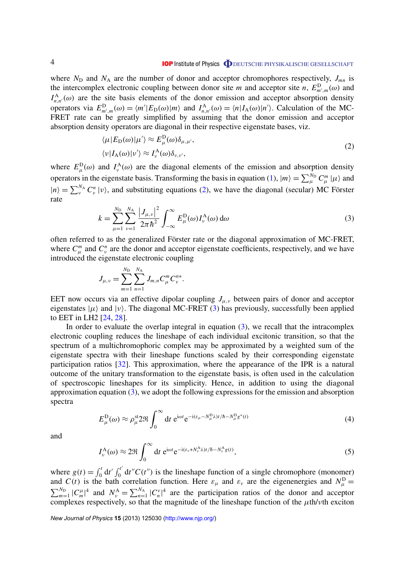<span id="page-4-0"></span>where  $N_D$  and  $N_A$  are the number of donor and acceptor chromophores respectively,  $J_{mn}$  is the intercomplex electronic coupling between donor site *m* and acceptor site *n*,  $E_{m',m}^{\text{D}}(\omega)$  and  $I_{n,n'}^{\mathcal{A}}(\omega)$  are the site basis elements of the donor emission and acceptor absorption density operators via  $E_{m',m}^{D}(\omega) = \langle m' | E_D(\omega) | m \rangle$  and  $I_{n,n'}^{A}(\omega) = \langle n | I_A(\omega) | n' \rangle$ . Calculation of the MC-FRET rate can be greatly simplified by assuming that the donor emission and acceptor absorption density operators are diagonal in their respective eigenstate bases, viz.

$$
\langle \mu | E_{\mathcal{D}}(\omega) | \mu' \rangle \approx E_{\mu}^{\mathcal{D}}(\omega) \delta_{\mu, \mu'},
$$
  

$$
\langle \nu | I_{\mathcal{A}}(\omega) | \nu' \rangle \approx I_{\nu}^{\mathcal{A}}(\omega) \delta_{\nu, \nu'},
$$
 (2)

where  $E_{\mu}^{\text{D}}(\omega)$  and  $I_{\nu}^{\text{A}}(\omega)$  are the diagonal elements of the emission and absorption density operators in the eigenstate basis. Transforming the basis in equation [\(1\)](#page-3-0),  $|m\rangle = \sum_{\mu}^{N_D} C_{\mu}^{m} |\mu\rangle$  and  $|n\rangle = \sum_{\nu}^{N_A} C_{\nu}^n | \nu \rangle$ , and substituting equations (2), we have the diagonal (secular) MC Förster rate

$$
k = \sum_{\mu=1}^{N_{\rm D}} \sum_{\nu=1}^{N_{\rm A}} \frac{\left|J_{\mu,\nu}\right|^2}{2\pi\hbar^2} \int_{-\infty}^{\infty} E_{\mu}^{\rm D}(\omega) I_{\nu}^{\rm A}(\omega) \,d\omega \tag{3}
$$

often referred to as the generalized Förster rate or the diagonal approximation of MC-FRET, where  $C_{\mu}^{m}$  and  $C_{\nu}^{n}$  are the donor and acceptor eigenstate coefficients, respectively, and we have introduced the eigenstate electronic coupling

$$
J_{\mu,\nu} = \sum_{m=1}^{N_{\rm D}} \sum_{n=1}^{N_{\rm A}} J_{m,n} C_{\mu}^{m} C_{\nu}^{n*}.
$$

EET now occurs via an effective dipolar coupling  $J_{\mu,\nu}$  between pairs of donor and acceptor eigenstates  $|\mu\rangle$  and  $|\nu\rangle$ . The diagonal MC-FRET (3) has previously, successfully been applied to EET in LH2 [\[24,](#page-12-0) [28\]](#page-13-0).

In order to evaluate the overlap integral in equation  $(3)$ , we recall that the intracomplex electronic coupling reduces the lineshape of each individual excitonic transition, so that the spectrum of a multichromophoric complex may be approximated by a weighted sum of the eigenstate spectra with their lineshape functions scaled by their corresponding eigenstate participation ratios [\[32\]](#page-13-0). This approximation, where the appearance of the IPR is a natural outcome of the unitary transformation to the eigenstate basis, is often used in the calculation of spectroscopic lineshapes for its simplicity. Hence, in addition to using the diagonal approximation equation (3), we adopt the following expressions for the emission and absorption spectra

$$
E_{\mu}^{\mathcal{D}}(\omega) \approx \rho_{\mu}^{\text{st}} 2 \Re \int_0^{\infty} dt \ e^{i\omega t} e^{-i(\varepsilon_{\mu} - N_{\mu}^{\mathcal{D}} \lambda)t/\hbar - N_{\mu}^{\mathcal{D}} g^*(t)}
$$
(4)

and

$$
I_{\nu}^{\mathcal{A}}(\omega) \approx 2 \Re \int_{0}^{\infty} dt \ e^{i\omega t} e^{-i(\varepsilon_{\nu} + N_{\nu}^{\mathcal{A}} \lambda)t/\hbar - N_{\nu}^{\mathcal{A}} g(t)}, \tag{5}
$$

where  $g(t) = \int_0^t dt' \int_0^{t'}$  $\int_0^{t'} dt'' C(t'')$  is the lineshape function of a single chromophore (monomer) and  $C(t)$  is the bath correlation function. Here  $\varepsilon_{\mu}$  and  $\varepsilon_{\nu}$  are the eigenenergies and  $N_{\mu}^{\text{D}} =$  $\sum_{m=1}^{N_D} |C_m^{\mu}|^4$  and  $N_{\nu}^A = \sum_{n=1}^{N_A} |C_n^{\nu}|^4$  are the participation ratios of the donor and acceptor complexes respectively, so that the magnitude of the lineshape function of the  $\mu$ th/vth exciton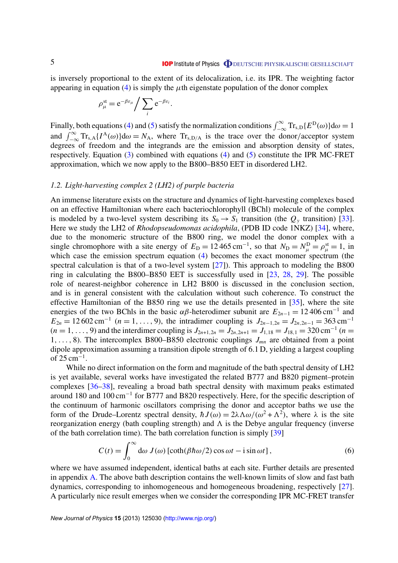<span id="page-5-0"></span>is inversely proportional to the extent of its delocalization, i.e. its IPR. The weighting factor appearing in equation [\(4\)](#page-4-0) is simply the  $\mu$ th eigenstate population of the donor complex

$$
\rho_{\mu}^{\mathrm{st}} = \mathrm{e}^{-\beta \varepsilon_{\mu}} / \sum_{i} \mathrm{e}^{-\beta \varepsilon_{i}}.
$$

Finally, both equations [\(4\)](#page-4-0) and [\(5\)](#page-4-0) satisfy the normalization conditions  $\int_{-\infty}^{\infty}$  Tr<sub>s,D</sub>{ $E^{D}(\omega)$ }d $\omega = 1$ and  $\int_{-\infty}^{\infty}$  Tr<sub>s,A</sub>{*I*<sup>A</sup>(ω)}dω = *N*<sub>A</sub>, where Tr<sub>s,D/A</sub> is the trace over the donor/acceptor system degrees of freedom and the integrands are the emission and absorption density of states, respectively. Equation [\(3\)](#page-4-0) combined with equations [\(4\)](#page-4-0) and [\(5\)](#page-4-0) constitute the IPR MC-FRET approximation, which we now apply to the B800–B850 EET in disordered LH2.

#### *1.2. Light-harvesting complex 2 (LH2) of purple bacteria*

An immense literature exists on the structure and dynamics of light-harvesting complexes based on an effective Hamiltonian where each bacteriochlorophyll (BChl) molecule of the complex is modeled by a two-level system describing its  $S_0 \rightarrow S_1$  transition (the  $Q_y$  transition) [\[33\]](#page-13-0). Here we study the LH2 of *Rhodopseudomonas acidophila*, (PDB ID code 1NKZ) [\[34\]](#page-13-0), where, due to the monomeric structure of the B800 ring, we model the donor complex with a single chromophore with a site energy of  $E_D = 12\,465 \text{ cm}^{-1}$ , so that  $N_D = N_{\mu}^D = \rho_{\mu}^{\text{st}} = 1$ , in which case the emission spectrum equation [\(4\)](#page-4-0) becomes the exact monomer spectrum (the spectral calculation is that of a two-level system [\[27\]](#page-13-0)). This approach to modeling the B800 ring in calculating the B800–B850 EET is successfully used in [\[23,](#page-12-0) [28,](#page-13-0) [29\]](#page-13-0). The possible role of nearest-neighbor coherence in LH2 B800 is discussed in the conclusion section, and is in general consistent with the calculation without such coherence. To construct the effective Hamiltonian of the B850 ring we use the details presented in [\[35\]](#page-13-0), where the site energies of the two BChls in the basic  $\alpha\beta$ -heterodimer subunit are  $E_{2n-1} = 12\,406\,\text{cm}^{-1}$  and  $E_{2n} = 12602 \text{ cm}^{-1}$  (*n* = 1, ..., 9), the intradimer coupling is  $J_{2n-1,2n} = J_{2n,2n-1} = 363 \text{ cm}^{-1}$  $(n = 1, \ldots, 9)$  and the interdimer coupling is  $J_{2n+1,2n} = J_{2n,2n+1} = J_{1,18} = J_{18,1} = 320 \text{ cm}^{-1}$  ( $n =$ 1, . . . , 8). The intercomplex B800–B850 electronic couplings *Jmn* are obtained from a point dipole approximation assuming a transition dipole strength of 6.1 D, yielding a largest coupling of 25 cm<sup>-1</sup>.

While no direct information on the form and magnitude of the bath spectral density of LH2 is yet available, several works have investigated the related B777 and B820 pigment–protein complexes [\[36–38\]](#page-13-0), revealing a broad bath spectral density with maximum peaks estimated around 180 and 100 cm<sup>−</sup><sup>1</sup> for B777 and B820 respectively. Here, for the specific description of the continuum of harmonic oscillators comprising the donor and acceptor baths we use the form of the Drude–Lorentz spectral density,  $\hbar J(\omega) = 2\lambda \Lambda \omega/(\omega^2 + \Lambda^2)$ , where  $\lambda$  is the site reorganization energy (bath coupling strength) and  $\Lambda$  is the Debye angular frequency (inverse of the bath correlation time). The bath correlation function is simply [\[39\]](#page-13-0)

$$
C(t) = \int_0^\infty d\omega J(\omega) \left[ \coth(\beta \hbar \omega/2) \cos \omega t - i \sin \omega t \right],\tag{6}
$$

where we have assumed independent, identical baths at each site. Further details are presented in appendix [A.](#page-10-0) The above bath description contains the well-known limits of slow and fast bath dynamics, corresponding to inhomogeneous and homogeneous broadening, respectively [\[27\]](#page-13-0). A particularly nice result emerges when we consider the corresponding IPR MC-FRET transfer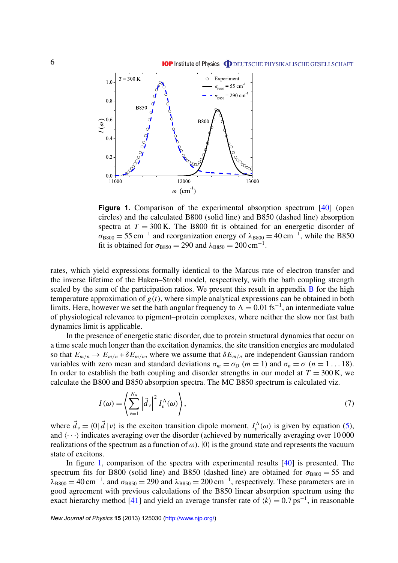

**Figure 1.** Comparison of the experimental absorption spectrum [\[40\]](#page-13-0) (open circles) and the calculated B800 (solid line) and B850 (dashed line) absorption spectra at  $T = 300$  K. The B800 fit is obtained for an energetic disorder of  $\sigma_{\text{B800}} = 55 \text{ cm}^{-1}$  and reorganization energy of  $\lambda_{\text{B800}} = 40 \text{ cm}^{-1}$ , while the B850 fit is obtained for  $\sigma_{\text{B850}} = 290$  and  $\lambda_{\text{B850}} = 200 \text{ cm}^{-1}$ .

rates, which yield expressions formally identical to the Marcus rate of electron transfer and the inverse lifetime of the Haken–Strobl model, respectively, with the bath coupling strength scaled by the sum of the participation ratios. We present this result in appendix **[B](#page-11-0)** for the high temperature approximation of  $g(t)$ , where simple analytical expressions can be obtained in both limits. Here, however we set the bath angular frequency to  $\Lambda = 0.01$  fs<sup>-1</sup>, an intermediate value of physiological relevance to pigment–protein complexes, where neither the slow nor fast bath dynamics limit is applicable.

In the presence of energetic static disorder, due to protein structural dynamics that occur on a time scale much longer than the excitation dynamics, the site transition energies are modulated so that  $E_{m/n} \to E_{m/n} + \delta E_{m/n}$ , where we assume that  $\delta E_{m/n}$  are independent Gaussian random variables with zero mean and standard deviations  $\sigma_m = \sigma_D$  (*m* = 1) and  $\sigma_n = \sigma$  (*n* = 1... 18). In order to establish the bath coupling and disorder strengths in our model at  $T = 300$  K, we calculate the B800 and B850 absorption spectra. The MC B850 spectrum is calculated viz.

$$
I(\omega) = \left\langle \sum_{\nu=1}^{N_{\rm A}} \left| \vec{d}_{\nu} \right|^{2} I_{\nu}^{\rm A}(\omega) \right\rangle, \tag{7}
$$

where  $\vec{d}_v = \langle 0 | \vec{d} | v \rangle$  is the exciton transition dipole moment,  $I_v^{\text{A}}(\omega)$  is given by equation [\(5\)](#page-4-0), and  $\langle \cdot \cdot \cdot \rangle$  indicates averaging over the disorder (achieved by numerically averaging over 10 000 realizations of the spectrum as a function of  $\omega$ ).  $|0\rangle$  is the ground state and represents the vacuum state of excitons.

In figure 1, comparison of the spectra with experimental results [\[40\]](#page-13-0) is presented. The spectrum fits for B800 (solid line) and B850 (dashed line) are obtained for  $\sigma_{\text{BS00}} = 55$  and  $\lambda_{B800} = 40 \text{ cm}^{-1}$ , and  $\sigma_{B850} = 290$  and  $\lambda_{B850} = 200 \text{ cm}^{-1}$ , respectively. These parameters are in good agreement with previous calculations of the B850 linear absorption spectrum using the exact hierarchy method [\[41\]](#page-13-0) and yield an average transfer rate of  $\langle k \rangle = 0.7$  ps<sup>-1</sup>, in reasonable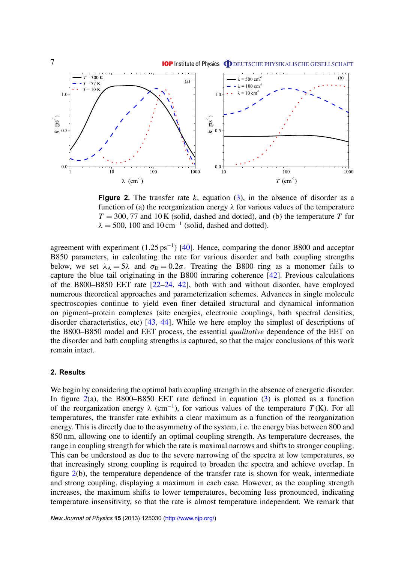<span id="page-7-0"></span>

**Figure 2.** The transfer rate  $k$ , equation  $(3)$ , in the absence of disorder as a function of (a) the reorganization energy  $\lambda$  for various values of the temperature  $T = 300, 77$  and 10 K (solid, dashed and dotted), and (b) the temperature *T* for  $\lambda = 500$ , 100 and 10 cm<sup>-1</sup> (solid, dashed and dotted).

agreement with experiment  $(1.25 \text{ ps}^{-1})$  [\[40\]](#page-13-0). Hence, comparing the donor B800 and acceptor B850 parameters, in calculating the rate for various disorder and bath coupling strengths below, we set  $\lambda_A = 5\lambda$  and  $\sigma_D = 0.2\sigma$ . Treating the B800 ring as a monomer fails to capture the blue tail originating in the B800 intraring coherence [\[42\]](#page-13-0). Previous calculations of the B800–B850 EET rate [\[22–24,](#page-12-0) [42\]](#page-13-0), both with and without disorder, have employed numerous theoretical approaches and parameterization schemes. Advances in single molecule spectroscopies continue to yield even finer detailed structural and dynamical information on pigment–protein complexes (site energies, electronic couplings, bath spectral densities, disorder characteristics, etc) [\[43,](#page-13-0) [44\]](#page-13-0). While we here employ the simplest of descriptions of the B800–B850 model and EET process, the essential *qualitative* dependence of the EET on the disorder and bath coupling strengths is captured, so that the major conclusions of this work remain intact.

# **2. Results**

We begin by considering the optimal bath coupling strength in the absence of energetic disorder. In figure  $2(a)$ , the B800–B850 EET rate defined in equation [\(3\)](#page-4-0) is plotted as a function of the reorganization energy  $\lambda$  (cm<sup>-1</sup>), for various values of the temperature *T*(K). For all temperatures, the transfer rate exhibits a clear maximum as a function of the reorganization energy. This is directly due to the asymmetry of the system, i.e. the energy bias between 800 and 850 nm, allowing one to identify an optimal coupling strength. As temperature decreases, the range in coupling strength for which the rate is maximal narrows and shifts to stronger coupling. This can be understood as due to the severe narrowing of the spectra at low temperatures, so that increasingly strong coupling is required to broaden the spectra and achieve overlap. In figure 2(b), the temperature dependence of the transfer rate is shown for weak, intermediate and strong coupling, displaying a maximum in each case. However, as the coupling strength increases, the maximum shifts to lower temperatures, becoming less pronounced, indicating temperature insensitivity, so that the rate is almost temperature independent. We remark that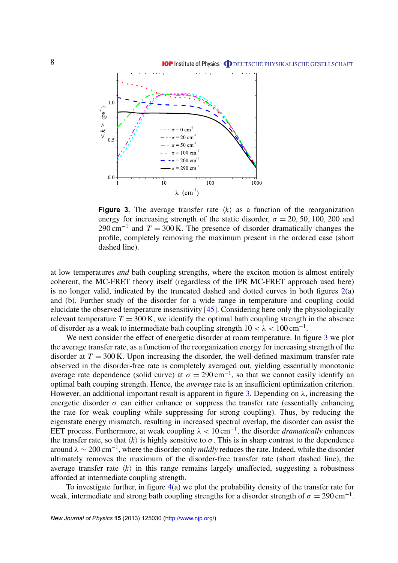

**Figure 3.** The average transfer rate  $\langle k \rangle$  as a function of the reorganization energy for increasing strength of the static disorder,  $\sigma = 20, 50, 100, 200$  and  $290 \text{ cm}^{-1}$  and  $T = 300 \text{ K}$ . The presence of disorder dramatically changes the profile, completely removing the maximum present in the ordered case (short dashed line).

at low temperatures *and* bath coupling strengths, where the exciton motion is almost entirely coherent, the MC-FRET theory itself (regardless of the IPR MC-FRET approach used here) is no longer valid, indicated by the truncated dashed and dotted curves in both figures  $2(a)$  $2(a)$ and (b). Further study of the disorder for a wide range in temperature and coupling could elucidate the observed temperature insensitivity [\[45\]](#page-13-0). Considering here only the physiologically relevant temperature  $T = 300$  K, we identify the optimal bath coupling strength in the absence of disorder as a weak to intermediate bath coupling strength  $10 < \lambda < 100 \text{ cm}^{-1}$ .

We next consider the effect of energetic disorder at room temperature. In figure 3 we plot the average transfer rate, as a function of the reorganization energy for increasing strength of the disorder at  $T = 300$  K. Upon increasing the disorder, the well-defined maximum transfer rate observed in the disorder-free rate is completely averaged out, yielding essentially monotonic average rate dependence (solid curve) at  $\sigma = 290 \text{ cm}^{-1}$ , so that we cannot easily identify an optimal bath couping strength. Hence, the *average* rate is an insufficient optimization criterion. However, an additional important result is apparent in figure 3. Depending on  $\lambda$ , increasing the energetic disorder  $\sigma$  can either enhance or suppress the transfer rate (essentially enhancing the rate for weak coupling while suppressing for strong coupling). Thus, by reducing the eigenstate energy mismatch, resulting in increased spectral overlap, the disorder can assist the EET process. Furthermore, at weak coupling  $\lambda < 10 \text{ cm}^{-1}$ , the disorder *dramatically* enhances the transfer rate, so that  $\langle k \rangle$  is highly sensitive to  $\sigma$ . This is in sharp contrast to the dependence around λ ∼ 200 cm<sup>−</sup><sup>1</sup> , where the disorder only *mildly* reduces the rate. Indeed, while the disorder ultimately removes the maximum of the disorder-free transfer rate (short dashed line), the average transfer rate  $\langle k \rangle$  in this range remains largely unaffected, suggesting a robustness afforded at intermediate coupling strength.

To investigate further, in figure [4\(](#page-9-0)a) we plot the probability density of the transfer rate for weak, intermediate and strong bath coupling strengths for a disorder strength of  $\sigma = 290 \text{ cm}^{-1}$ .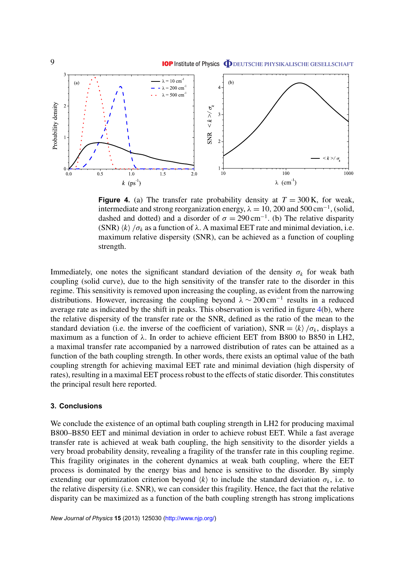<span id="page-9-0"></span>

**Figure 4.** (a) The transfer rate probability density at  $T = 300$  K, for weak, intermediate and strong reorganization energy,  $\lambda = 10$ , 200 and 500 cm<sup>-1</sup>, (solid, dashed and dotted) and a disorder of  $\sigma = 290 \text{ cm}^{-1}$ . (b) The relative disparity (SNR)  $\langle k \rangle / \sigma_k$  as a function of  $\lambda$ . A maximal EET rate and minimal deviation, i.e. maximum relative dispersity (SNR), can be achieved as a function of coupling strength.

Immediately, one notes the significant standard deviation of the density  $\sigma_k$  for weak bath coupling (solid curve), due to the high sensitivity of the transfer rate to the disorder in this regime. This sensitivity is removed upon increasing the coupling, as evident from the narrowing distributions. However, increasing the coupling beyond  $\lambda \sim 200 \text{ cm}^{-1}$  results in a reduced average rate as indicated by the shift in peaks. This observation is verified in figure 4(b), where the relative dispersity of the transfer rate or the SNR, defined as the ratio of the mean to the standard deviation (i.e. the inverse of the coefficient of variation),  $SNR = \langle k \rangle / \sigma_k$ , displays a maximum as a function of  $\lambda$ . In order to achieve efficient EET from B800 to B850 in LH2, a maximal transfer rate accompanied by a narrowed distribution of rates can be attained as a function of the bath coupling strength. In other words, there exists an optimal value of the bath coupling strength for achieving maximal EET rate and minimal deviation (high dispersity of rates), resulting in a maximal EET process robust to the effects of static disorder. This constitutes the principal result here reported.

# **3. Conclusions**

We conclude the existence of an optimal bath coupling strength in LH2 for producing maximal B800–B850 EET and minimal deviation in order to achieve robust EET. While a fast average transfer rate is achieved at weak bath coupling, the high sensitivity to the disorder yields a very broad probability density, revealing a fragility of the transfer rate in this coupling regime. This fragility originates in the coherent dynamics at weak bath coupling, where the EET process is dominated by the energy bias and hence is sensitive to the disorder. By simply extending our optimization criterion beyond  $\langle k \rangle$  to include the standard deviation  $\sigma_k$ , i.e. to the relative dispersity (i.e. SNR), we can consider this fragility. Hence, the fact that the relative disparity can be maximized as a function of the bath coupling strength has strong implications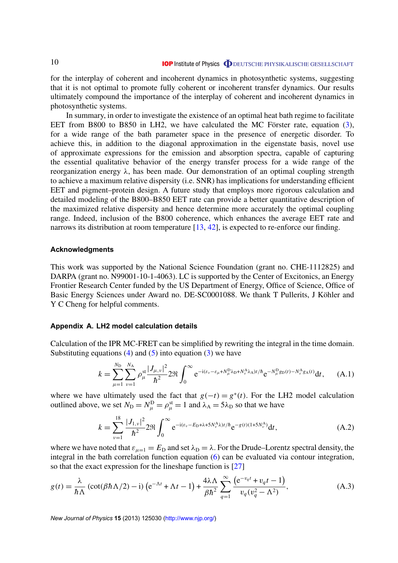<span id="page-10-0"></span>for the interplay of coherent and incoherent dynamics in photosynthetic systems, suggesting that it is not optimal to promote fully coherent or incoherent transfer dynamics. Our results ultimately compound the importance of the interplay of coherent and incoherent dynamics in photosynthetic systems.

In summary, in order to investigate the existence of an optimal heat bath regime to facilitate EET from B800 to B850 in LH2, we have calculated the MC Förster rate, equation  $(3)$  $(3)$ , for a wide range of the bath parameter space in the presence of energetic disorder. To achieve this, in addition to the diagonal approximation in the eigenstate basis, novel use of approximate expressions for the emission and absorption spectra, capable of capturing the essential qualitative behavior of the energy transfer process for a wide range of the reorganization energy λ, has been made. Our demonstration of an optimal coupling strength to achieve a maximum relative dispersity (i.e. SNR) has implications for understanding efficient EET and pigment–protein design. A future study that employs more rigorous calculation and detailed modeling of the B800–B850 EET rate can provide a better quantitative description of the maximized relative dispersity and hence determine more accurately the optimal coupling range. Indeed, inclusion of the B800 coherence, which enhances the average EET rate and narrows its distribution at room temperature [\[13,](#page-12-0) [42\]](#page-13-0), is expected to re-enforce our finding.

# **Acknowledgments**

This work was supported by the National Science Foundation (grant no. CHE-1112825) and DARPA (grant no. N99001-10-1-4063). LC is supported by the Center of Excitonics, an Energy Frontier Research Center funded by the US Department of Energy, Office of Science, Office of Basic Energy Sciences under Award no. DE-SC0001088. We thank T Pullerits, J Köhler and Y C Cheng for helpful comments.

#### **Appendix A. LH2 model calculation details**

Calculation of the IPR MC-FRET can be simplified by rewriting the integral in the time domain. Substituting equations  $(4)$  and  $(5)$  into equation  $(3)$  we have

$$
k = \sum_{\mu=1}^{N_{\rm D}} \sum_{\nu=1}^{N_{\rm A}} \rho_{\mu}^{\rm st} \frac{|J_{\mu,\nu}|^2}{\hbar^2} 2 \Re \int_0^{\infty} e^{-i(\varepsilon_{\nu} - \varepsilon_{\mu} + N_{\mu}^{\rm D} \lambda_{\rm D} + N_{\nu}^{\rm A} \lambda_{\rm A}) t/\hbar} e^{-N_{\mu}^{\rm D} g_{\rm D}(t) - N_{\nu}^{\rm A} g_{\rm A}(t)} \mathrm{d}t, \tag{A.1}
$$

where we have ultimately used the fact that  $g(-t) = g^*(t)$ . For the LH2 model calculation outlined above, we set  $N_D = N_{\mu}^D = \rho_{\mu}^{\text{st}} = 1$  and  $\lambda_A = 5\lambda_D$  so that we have

$$
k = \sum_{\nu=1}^{18} \frac{|J_{1,\nu}|^2}{\hbar^2} 2\Re \int_0^\infty e^{-i(\varepsilon_\nu - E_D + \lambda + 5N_\nu^A \lambda)t/\hbar} e^{-g(t)(1+5N_\nu^A)} dt,
$$
 (A.2)

where we have noted that  $\varepsilon_{\mu=1} = E_D$  and set  $\lambda_D = \lambda$ . For the Drude–Lorentz spectral density, the integral in the bath correlation function equation [\(6\)](#page-5-0) can be evaluated via contour integration, so that the exact expression for the lineshape function is [\[27\]](#page-13-0)

$$
g(t) = \frac{\lambda}{\hbar \Lambda} \left( \cot(\beta \hbar \Lambda/2) - i \right) \left( e^{-\Lambda t} + \Lambda t - 1 \right) + \frac{4\lambda \Lambda}{\beta \hbar^2} \sum_{q=1}^{\infty} \frac{\left( e^{-v_q t} + v_q t - 1 \right)}{v_q (v_q^2 - \Lambda^2)},
$$
(A.3)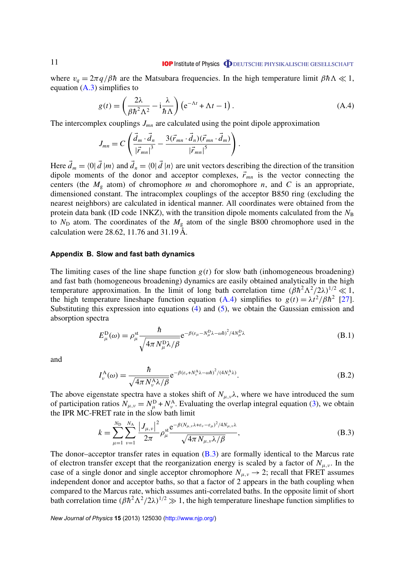<span id="page-11-0"></span>where  $v_q = 2\pi q/\beta \hbar$  are the Matsubara frequencies. In the high temperature limit  $\beta \hbar \Delta \ll 1$ , equation  $(A.3)$  simplifies to

$$
g(t) = \left(\frac{2\lambda}{\beta \hbar^2 \Lambda^2} - i\frac{\lambda}{\hbar \Lambda}\right) \left(e^{-\Lambda t} + \Lambda t - 1\right).
$$
 (A.4)

The intercomplex couplings  $J_{mn}$  are calculated using the point dipole approximation

$$
J_{mn}=C\left(\frac{\vec{d}_m\cdot\vec{d}_n}{|\vec{r}_{mn}|^3}-\frac{3(\vec{r}_{mn}\cdot\vec{d}_n)(\vec{r}_{mn}\cdot\vec{d}_m)}{|\vec{r}_{mn}|^5}\right).
$$

Here  $\vec{d}_m = \langle 0 | \vec{d} | m \rangle$  and  $\vec{d}_n = \langle 0 | \vec{d} | n \rangle$  are unit vectors describing the direction of the transition dipole moments of the donor and acceptor complexes,  $\vec{r}_{mn}$  is the vector connecting the centers (the  $M_g$  atom) of chromophore  $m$  and choromophore  $n$ , and  $C$  is an appropriate, dimensioned constant. The intracomplex couplings of the acceptor B850 ring (excluding the nearest neighbors) are calculated in identical manner. All coordinates were obtained from the protein data bank (ID code 1NKZ), with the transition dipole moments calculated from the  $N_B$ to  $N_D$  atom. The coordinates of the  $M_g$  atom of the single B800 chromophore used in the calculation were 28.62, 11.76 and 31.19 Å.

# **Appendix B. Slow and fast bath dynamics**

The limiting cases of the line shape function  $g(t)$  for slow bath (inhomogeneous broadening) and fast bath (homogeneous broadening) dynamics are easily obtained analytically in the high temperature approximation. In the limit of long bath correlation time  $(\beta \hbar^2 \Lambda^2/2\lambda)^{1/2} \ll 1$ , the high temperature lineshape function equation (A.4) simplifies to  $g(t) = \lambda t^2/\beta \hbar^2$  [\[27\]](#page-13-0). Substituting this expression into equations [\(4\)](#page-4-0) and [\(5\)](#page-4-0), we obtain the Gaussian emission and absorption spectra

$$
E_{\mu}^{\text{D}}(\omega) = \rho_{\mu}^{\text{st}} \frac{\hbar}{\sqrt{4\pi N_{\mu}^{\text{D}} \lambda/\beta}} e^{-\beta (\varepsilon_{\mu} - N_{\mu}^{\text{D}} \lambda - \omega \hbar)^{2} / 4N_{\mu}^{\text{D}} \lambda}
$$
(B.1)

and

$$
I_{\nu}^{\mathcal{A}}(\omega) = \frac{\hbar}{\sqrt{4\pi N_{\nu}^{\mathcal{A}}\lambda/\beta}} e^{-\beta(\varepsilon_{\nu} + N_{\nu}^{\mathcal{A}}\lambda - \omega\hbar)^{2}/(4N_{\nu}^{\mathcal{A}}\lambda)}.
$$
 (B.2)

The above eigenstate spectra have a stokes shift of  $N_{\mu,\nu}\lambda$ , where we have introduced the sum of participation ratios  $N_{\mu,\nu} = N_{\mu}^{\text{D}} + N_{\nu}^{\text{A}}$ . Evaluating the overlap integral equation [\(3\)](#page-4-0), we obtain the IPR MC-FRET rate in the slow bath limit

$$
k = \sum_{\mu=1}^{N_{\rm D}} \sum_{\nu=1}^{N_{\rm A}} \frac{\left|J_{\mu,\nu}\right|^2}{2\pi} \rho_{\mu}^{\text{st}} \frac{\mathrm{e}^{-\beta(N_{\mu,\nu}\lambda + \varepsilon_{\nu} - \varepsilon_{\mu})^2 / 4N_{\mu,\nu}\lambda}}{\sqrt{4\pi N_{\mu,\nu}\lambda/\beta}},
$$
(B.3)

The donor–acceptor transfer rates in equation (B.3) are formally identical to the Marcus rate of electron transfer except that the reorganization energy is scaled by a factor of  $N_{\mu,\nu}$ . In the case of a single donor and single acceptor chromophore  $N_{\mu,\nu} \to 2$ ; recall that FRET assumes independent donor and acceptor baths, so that a factor of 2 appears in the bath coupling when compared to the Marcus rate, which assumes anti-correlated baths. In the opposite limit of short bath correlation time  $(\beta \hbar^2 \Lambda^2/2\lambda)^{1/2} \gg 1$ , the high temperature lineshape function simplifies to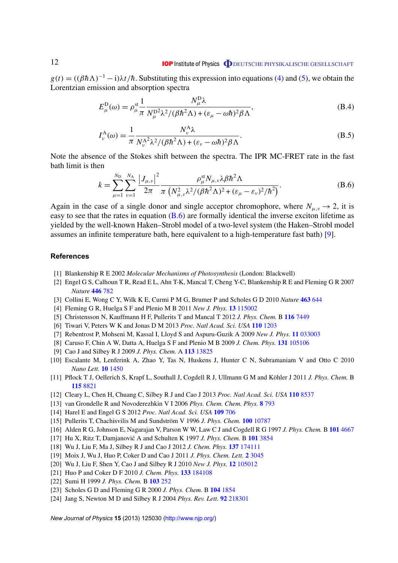<span id="page-12-0"></span> $g(t) = ((\beta \hbar \Lambda)^{-1} - i)\lambda t/\hbar$ . Substituting this expression into equations [\(4\)](#page-4-0) and [\(5\)](#page-4-0), we obtain the Lorentzian emission and absorption spectra

$$
E_{\mu}^{\mathcal{D}}(\omega) = \rho_{\mu}^{\text{st}} \frac{1}{\pi} \frac{N_{\mu}^{\mathcal{D}} \lambda}{N_{\mu}^{\mathcal{D}^2} \lambda^2 / (\beta \hbar^2 \Lambda) + (\varepsilon_{\mu} - \omega \hbar)^2 \beta \Lambda},
$$
\n(B.4)

$$
I_{\nu}^{\mathcal{A}}(\omega) = \frac{1}{\pi} \frac{N_{\nu}^{\mathcal{A}} \lambda}{N_{\nu}^{\mathcal{A}^2} \lambda^2 / (\beta \hbar^2 \Lambda) + (\varepsilon_{\nu} - \omega \hbar)^2 \beta \Lambda}.
$$
 (B.5)

Note the absence of the Stokes shift between the spectra. The IPR MC-FRET rate in the fast bath limit is then

$$
k = \sum_{\mu=1}^{N_{\rm D}} \sum_{\nu=1}^{N_{\rm A}} \frac{\left|J_{\mu,\nu}\right|^2}{2\pi} \frac{\rho_{\mu}^{\rm st} N_{\mu,\nu} \lambda \beta \hbar^2 \Lambda}{\pi \left(N_{\mu,\nu}^2 \lambda^2 / (\beta \hbar^2 \Lambda)^2 + (\varepsilon_{\mu} - \varepsilon_{\nu})^2 / \hbar^2\right)}.
$$
 (B.6)

Again in the case of a single donor and single acceptor chromophore, where  $N_{\mu,\nu} \to 2$ , it is easy to see that the rates in equation (B.6) are formally identical the inverse exciton lifetime as yielded by the well-known Haken–Strobl model of a two-level system (the Haken–Strobl model assumes an infinite temperature bath, here equivalent to a high-temperature fast bath) [9].

# **References**

- [1] Blankenship R E 2002 *Molecular Mechanisms of Photosynthesis* (London: Blackwell)
- [2] Engel G S, Calhoun T R, Read E L, Ahn T-K, Mancal T, Cheng Y-C, Blankenship R E and Fleming G R 2007 *Nature* **[446](http://dx.doi.org/10.1038/nature05678)** 782
- [3] Collini E, Wong C Y, Wilk K E, Curmi P M G, Brumer P and Scholes G D 2010 *Nature* **463** [644](http://dx.doi.org/10.1038/nature08811)
- [4] Fleming G R, Huelga S F and Plenio M B 2011 *New J. Phys.* **13** [115002](http://dx.doi.org/10.1088/1367-2630/13/11/115002)
- [5] Christensson N, Kauffmann H F, Pullerits T and Mancal T 2012 *J. Phys. Chem.* B **116** [7449](http://dx.doi.org/10.1021/jp304649c)
- [6] Tiwari V, Peters W K and Jonas D M 2013 *Proc. Natl Acad. Sci. USA* **110** [1203](http://dx.doi.org/10.1073/pnas.1211157110)
- [7] Rebentrost P, Mohseni M, Kassal I, Lloyd S and Aspuru-Guzik A 2009 *New J. Phys.* **11** [033003](http://dx.doi.org/10.1088/1367-2630/11/3/033003)
- [8] Caruso F, Chin A W, Datta A, Huelga S F and Plenio M B 2009 *J. Chem. Phys.* **131** [105106](http://dx.doi.org/10.1063/1.3223548)
- [9] Cao J and Silbey R J 2009 *J. Phys. Chem.* A **113** [13825](http://dx.doi.org/10.1021/jp9032589)
- [10] Escalante M, Lenferink A, Zhao Y, Tas N, Huskens J, Hunter C N, Subramaniam V and Otto C 2010 *Nano Lett.* **10** [1450](http://dx.doi.org/10.1021/nl1003569)
- [11] Pflock T J, Oellerich S, Krapf L, Southall J, Cogdell R J, Ullmann G M and Köhler J 2011 J. Phys. Chem. B **115** [8821](http://dx.doi.org/10.1021/jp2023583)
- [12] Cleary L, Chen H, Chuang C, Silbey R J and Cao J 2013 *Proc. Natl Acad. Sci. USA* **110** [8537](http://dx.doi.org/10.1073/pnas.1218270110)
- [13] van Grondelle R and Novoderezhkin V I 2006 *Phys. Chem. Chem. Phys.* **8** [793](http://dx.doi.org/10.1039/b514032c)
- [14] Harel E and Engel G S 2012 *Proc. Natl Acad. Sci. USA* **[109](http://dx.doi.org/10.1073/pnas.1110312109)** 706
- [15] Pullerits T, Chachisvilis M and Sundström V 1996 J. Phys. Chem. 100 [10787](http://dx.doi.org/10.1021/jp953639b)
- [16] Alden R G, Johnson E, Nagarajan V, Parson W W, Law C J and Cogdell R G 1997 *J. Phys. Chem.* B **101** [4667](http://dx.doi.org/10.1021/jp970005r)
- [17] Hu X, Ritz T, Damjanović A and Schulten K 1997 *J. Phys. Chem.* B 101 [3854](http://dx.doi.org/10.1021/jp963777g)
- [18] Wu J, Liu F, Ma J, Silbey R J and Cao J 2012 *J. Chem. Phys.* **137** [174111](http://dx.doi.org/10.1063/1.4762839)
- [19] Moix J, Wu J, Huo P, Coker D and Cao J 2011 *J. Phys. Chem. Lett.* **2** [3045](http://dx.doi.org/10.1021/jz201259v)
- [20] Wu J, Liu F, Shen Y, Cao J and Silbey R J 2010 *New J. Phys.* **12** [105012](http://dx.doi.org/10.1088/1367-2630/12/10/105012)
- [21] Huo P and Coker D F 2010 *J. Chem. Phys.* **133** [184108](http://dx.doi.org/10.1063/1.3498901)
- [22] Sumi H 1999 *J. Phys. Chem.* B **103** [252](http://dx.doi.org/10.1021/jp983477u)
- [23] Scholes G D and Fleming G R 2000 *J. Phys. Chem.* B **104** [1854](http://dx.doi.org/10.1021/jp993435l)
- [24] Jang S, Newton M D and Silbey R J 2004 *Phys. Rev. Lett.* **92** [218301](http://dx.doi.org/10.1103/PhysRevLett.92.218301)